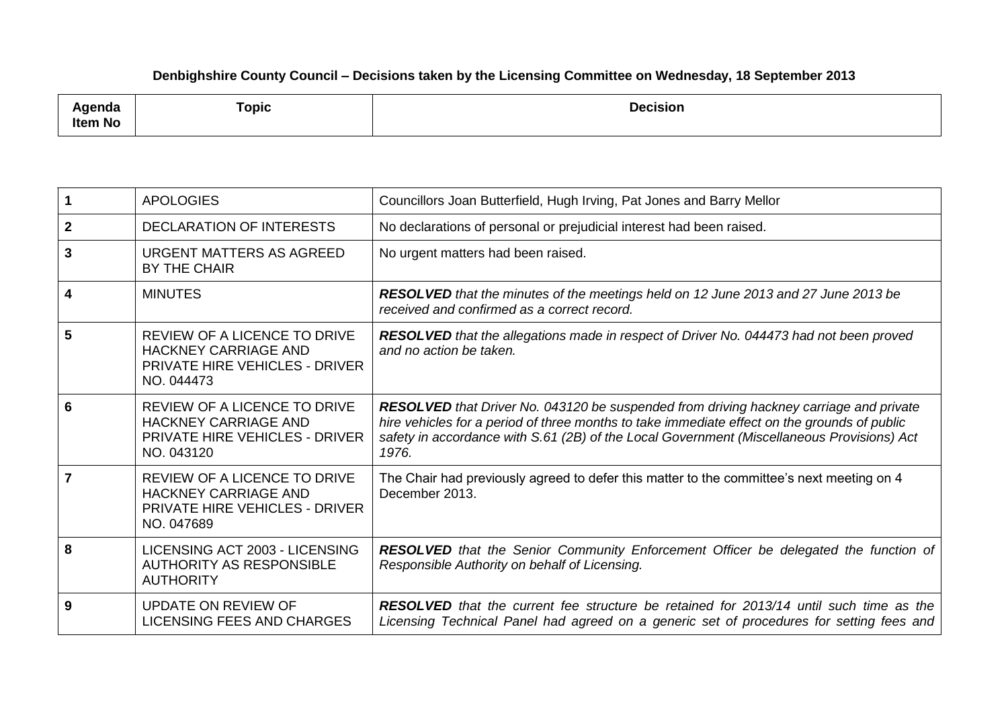## **Denbighshire County Council – Decisions taken by the Licensing Committee on Wednesday, 18 September 2013**

| .<br>nua<br><b>Item No</b> | and the contract of the contract of<br>Горіс | <b>Decision</b> |
|----------------------------|----------------------------------------------|-----------------|
|----------------------------|----------------------------------------------|-----------------|

|                         | <b>APOLOGIES</b>                                                                                                   | Councillors Joan Butterfield, Hugh Irving, Pat Jones and Barry Mellor                                                                                                                                                                                                                                |
|-------------------------|--------------------------------------------------------------------------------------------------------------------|------------------------------------------------------------------------------------------------------------------------------------------------------------------------------------------------------------------------------------------------------------------------------------------------------|
| $\mathbf{2}$            | <b>DECLARATION OF INTERESTS</b>                                                                                    | No declarations of personal or prejudicial interest had been raised.                                                                                                                                                                                                                                 |
| 3                       | <b>URGENT MATTERS AS AGREED</b><br>BY THE CHAIR                                                                    | No urgent matters had been raised.                                                                                                                                                                                                                                                                   |
| $\overline{\mathbf{4}}$ | <b>MINUTES</b>                                                                                                     | RESOLVED that the minutes of the meetings held on 12 June 2013 and 27 June 2013 be<br>received and confirmed as a correct record.                                                                                                                                                                    |
| 5                       | REVIEW OF A LICENCE TO DRIVE<br>HACKNEY CARRIAGE AND<br><b>PRIVATE HIRE VEHICLES - DRIVER</b><br>NO. 044473        | RESOLVED that the allegations made in respect of Driver No. 044473 had not been proved<br>and no action be taken.                                                                                                                                                                                    |
| 6                       | REVIEW OF A LICENCE TO DRIVE<br><b>HACKNEY CARRIAGE AND</b><br><b>PRIVATE HIRE VEHICLES - DRIVER</b><br>NO. 043120 | <b>RESOLVED</b> that Driver No. 043120 be suspended from driving hackney carriage and private<br>hire vehicles for a period of three months to take immediate effect on the grounds of public<br>safety in accordance with S.61 (2B) of the Local Government (Miscellaneous Provisions) Act<br>1976. |
| $\overline{7}$          | REVIEW OF A LICENCE TO DRIVE<br><b>HACKNEY CARRIAGE AND</b><br><b>PRIVATE HIRE VEHICLES - DRIVER</b><br>NO. 047689 | The Chair had previously agreed to defer this matter to the committee's next meeting on 4<br>December 2013.                                                                                                                                                                                          |
| 8                       | LICENSING ACT 2003 - LICENSING<br><b>AUTHORITY AS RESPONSIBLE</b><br><b>AUTHORITY</b>                              | <b>RESOLVED</b> that the Senior Community Enforcement Officer be delegated the function of<br>Responsible Authority on behalf of Licensing.                                                                                                                                                          |
| 9                       | <b>UPDATE ON REVIEW OF</b><br>LICENSING FEES AND CHARGES                                                           | <b>RESOLVED</b> that the current fee structure be retained for 2013/14 until such time as the<br>Licensing Technical Panel had agreed on a generic set of procedures for setting fees and                                                                                                            |